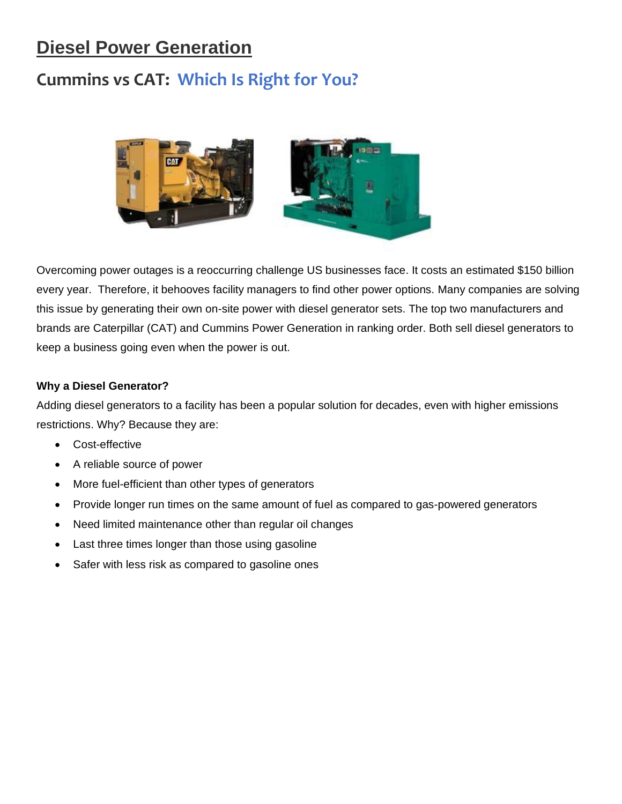## **Diesel Power Generation**

## **Cummins vs CAT: Which Is Right for You?**



Overcoming power outages is a reoccurring challenge US businesses face. It costs an estimated \$150 billion every year. Therefore, it behooves facility managers to find other power options. Many companies are solving this issue by generating their own on-site power with diesel generator sets. The top two manufacturers and brands are Caterpillar (CAT) and Cummins Power Generation in ranking order. Both sell diesel generators to keep a business going even when the power is out.

## **Why a Diesel Generator?**

Adding diesel generators to a facility has been a popular solution for decades, even with higher emissions restrictions. Why? Because they are:

- Cost-effective
- A reliable source of power
- More fuel-efficient than other types of generators
- Provide longer run times on the same amount of fuel as compared to gas-powered generators
- Need limited maintenance other than regular oil changes
- Last three times longer than those using gasoline
- Safer with less risk as compared to gasoline ones